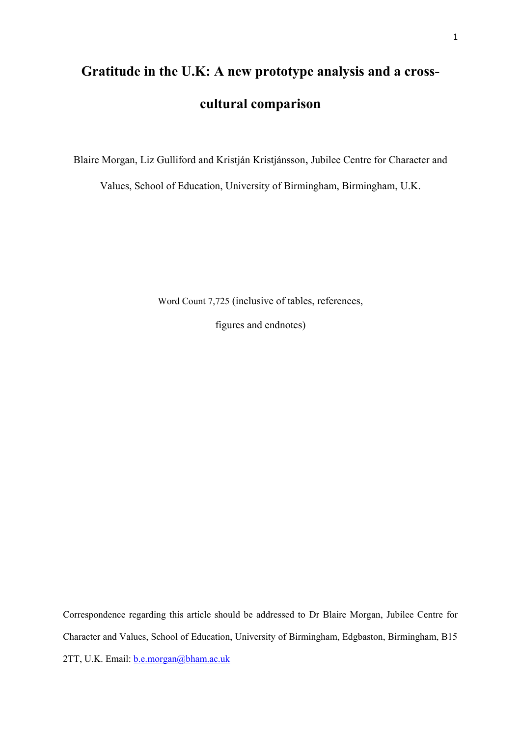# **Gratitude in the U.K: A new prototype analysis and a crosscultural comparison**

Blaire Morgan, Liz Gulliford and Kristján Kristjánsson, Jubilee Centre for Character and

Values, School of Education, University of Birmingham, Birmingham, U.K.

Word Count 7,725 (inclusive of tables, references,

figures and endnotes)

Correspondence regarding this article should be addressed to Dr Blaire Morgan, Jubilee Centre for Character and Values, School of Education, University of Birmingham, Edgbaston, Birmingham, B15 2TT, U.K. Email: **b.e.morgan@bham.ac.uk**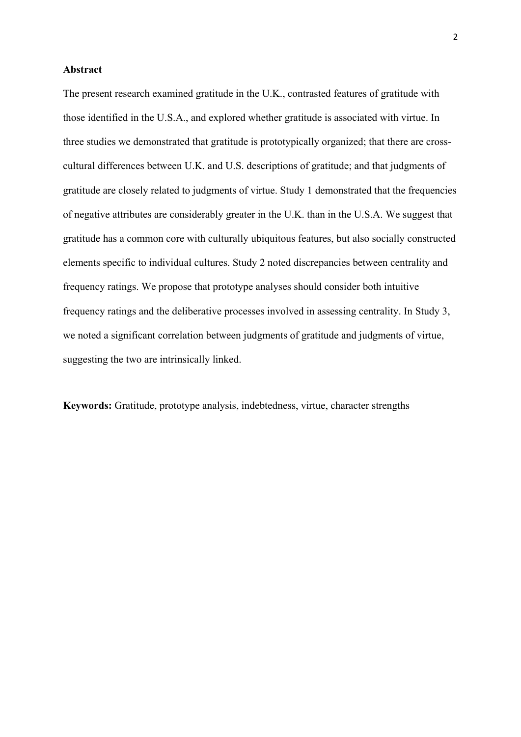## **Abstract**

The present research examined gratitude in the U.K., contrasted features of gratitude with those identified in the U.S.A., and explored whether gratitude is associated with virtue. In three studies we demonstrated that gratitude is prototypically organized; that there are crosscultural differences between U.K. and U.S. descriptions of gratitude; and that judgments of gratitude are closely related to judgments of virtue. Study 1 demonstrated that the frequencies of negative attributes are considerably greater in the U.K. than in the U.S.A. We suggest that gratitude has a common core with culturally ubiquitous features, but also socially constructed elements specific to individual cultures. Study 2 noted discrepancies between centrality and frequency ratings. We propose that prototype analyses should consider both intuitive frequency ratings and the deliberative processes involved in assessing centrality. In Study 3, we noted a significant correlation between judgments of gratitude and judgments of virtue, suggesting the two are intrinsically linked.

**Keywords:** Gratitude, prototype analysis, indebtedness, virtue, character strengths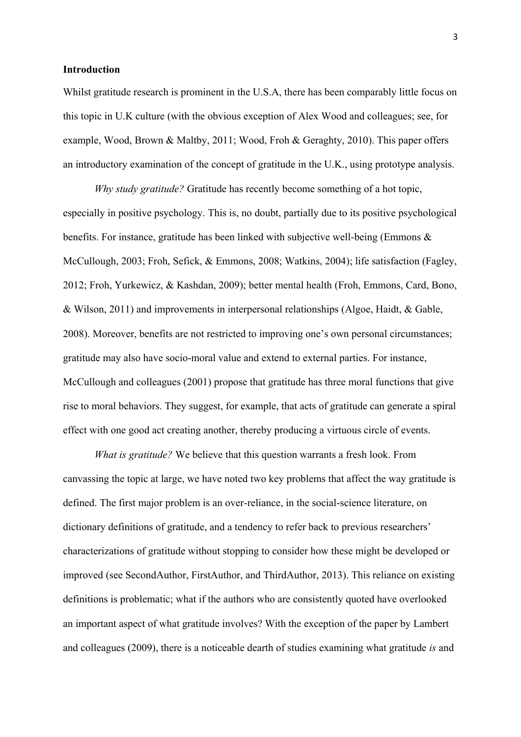#### **Introduction**

Whilst gratitude research is prominent in the U.S.A, there has been comparably little focus on this topic in U.K culture (with the obvious exception of Alex Wood and colleagues; see, for example, Wood, Brown & Maltby, 2011; Wood, Froh & Geraghty, 2010). This paper offers an introductory examination of the concept of gratitude in the U.K., using prototype analysis.

*Why study gratitude?* Gratitude has recently become something of a hot topic, especially in positive psychology. This is, no doubt, partially due to its positive psychological benefits. For instance, gratitude has been linked with subjective well-being (Emmons & McCullough, 2003; Froh, Sefick, & Emmons, 2008; Watkins, 2004); life satisfaction (Fagley, 2012; Froh, Yurkewicz, & Kashdan, 2009); better mental health (Froh, Emmons, Card, Bono, & Wilson, 2011) and improvements in interpersonal relationships (Algoe, Haidt, & Gable, 2008). Moreover, benefits are not restricted to improving one's own personal circumstances; gratitude may also have socio-moral value and extend to external parties. For instance, McCullough and colleagues (2001) propose that gratitude has three moral functions that give rise to moral behaviors. They suggest, for example, that acts of gratitude can generate a spiral effect with one good act creating another, thereby producing a virtuous circle of events.

*What is gratitude?* We believe that this question warrants a fresh look. From canvassing the topic at large, we have noted two key problems that affect the way gratitude is defined. The first major problem is an over-reliance, in the social-science literature, on dictionary definitions of gratitude, and a tendency to refer back to previous researchers' characterizations of gratitude without stopping to consider how these might be developed or improved (see SecondAuthor, FirstAuthor, and ThirdAuthor, 2013). This reliance on existing definitions is problematic; what if the authors who are consistently quoted have overlooked an important aspect of what gratitude involves? With the exception of the paper by Lambert and colleagues (2009), there is a noticeable dearth of studies examining what gratitude *is* and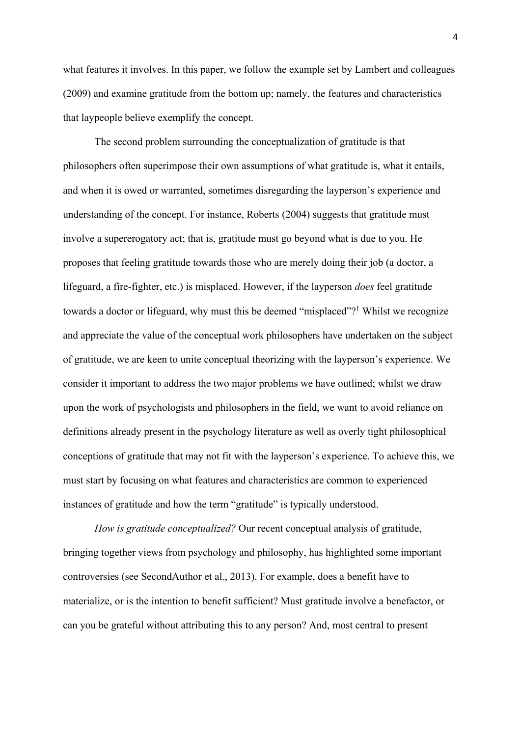what features it involves. In this paper, we follow the example set by Lambert and colleagues (2009) and examine gratitude from the bottom up; namely, the features and characteristics that laypeople believe exemplify the concept.

The second problem surrounding the conceptualization of gratitude is that philosophers often superimpose their own assumptions of what gratitude is, what it entails, and when it is owed or warranted, sometimes disregarding the layperson's experience and understanding of the concept. For instance, Roberts (2004) suggests that gratitude must involve a supererogatory act; that is, gratitude must go beyond what is due to you. He proposes that feeling gratitude towards those who are merely doing their job (a doctor, a lifeguard, a fire-fighter, etc.) is misplaced. However, if the layperson *does* feel gratitude towards a doctor or lifeguard, why must this be deemed "misplaced"?<sup>1</sup> Whilst we recognize and appreciate the value of the conceptual work philosophers have undertaken on the subject of gratitude, we are keen to unite conceptual theorizing with the layperson's experience. We consider it important to address the two major problems we have outlined; whilst we draw upon the work of psychologists and philosophers in the field, we want to avoid reliance on definitions already present in the psychology literature as well as overly tight philosophical conceptions of gratitude that may not fit with the layperson's experience. To achieve this, we must start by focusing on what features and characteristics are common to experienced instances of gratitude and how the term "gratitude" is typically understood.

*How is gratitude conceptualized?* Our recent conceptual analysis of gratitude, bringing together views from psychology and philosophy, has highlighted some important controversies (see SecondAuthor et al., 2013). For example, does a benefit have to materialize, or is the intention to benefit sufficient? Must gratitude involve a benefactor, or can you be grateful without attributing this to any person? And, most central to present

4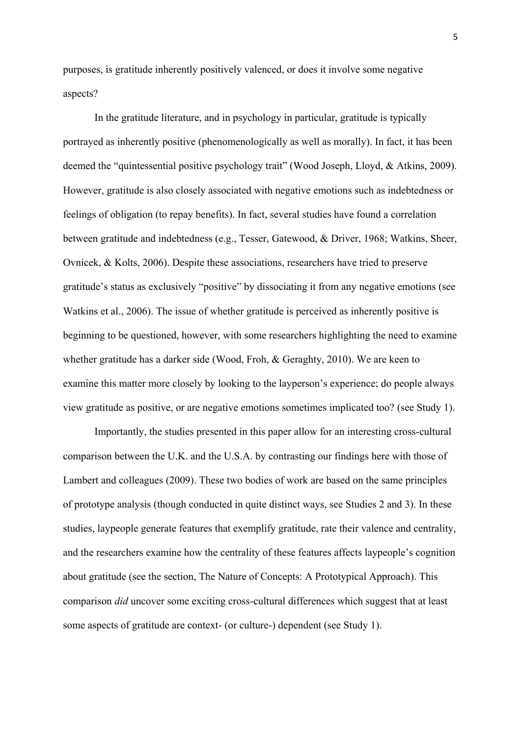purposes, is gratitude inherently positively valenced, or does it involve some negative aspects?

In the gratitude literature, and in psychology in particular, gratitude is typically portrayed as inherently positive (phenomenologically as well as morally). In fact, it has been deemed the "quintessential positive psychology trait" (Wood Joseph, Lloyd, & Atkins, 2009). However, gratitude is also closely associated with negative emotions such as indebtedness or feelings of obligation (to repay benefits). In fact, several studies have found a correlation between gratitude and indebtedness (e.g., Tesser, Gatewood, & Driver, 1968; Watkins, Sheer, Ovnicek, & Kolts, 2006). Despite these associations, researchers have tried to preserve gratitude's status as exclusively "positive" by dissociating it from any negative emotions (see Watkins et al., 2006). The issue of whether gratitude is perceived as inherently positive is beginning to be questioned, however, with some researchers highlighting the need to examine whether gratitude has a darker side (Wood, Froh, & Geraghty, 2010). We are keen to examine this matter more closely by looking to the layperson's experience; do people always view gratitude as positive, or are negative emotions sometimes implicated too? (see Study 1).

Importantly, the studies presented in this paper allow for an interesting cross-cultural comparison between the U.K. and the U.S.A. by contrasting our findings here with those of Lambert and colleagues (2009). These two bodies of work are based on the same principles of prototype analysis (though conducted in quite distinct ways, see Studies 2 and 3). In these studies, laypeople generate features that exemplify gratitude, rate their valence and centrality, and the researchers examine how the centrality of these features affects laypeople's cognition about gratitude (see the section, The Nature of Concepts: A Prototypical Approach). This comparison *did* uncover some exciting cross-cultural differences which suggest that at least some aspects of gratitude are context- (or culture-) dependent (see Study 1).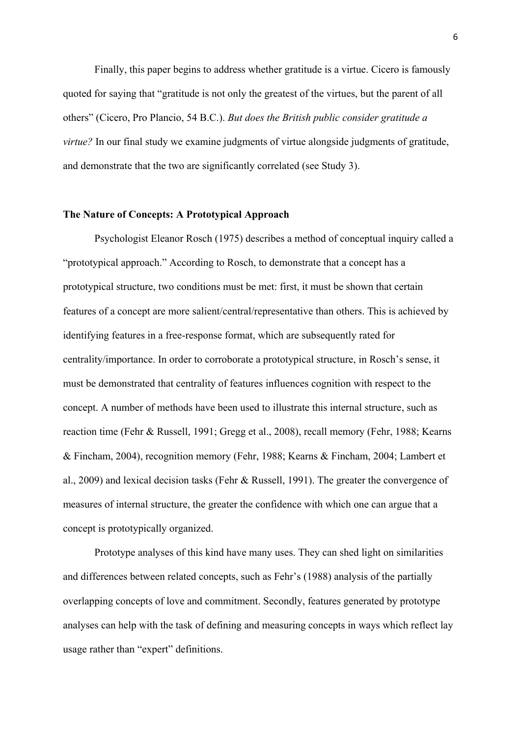Finally, this paper begins to address whether gratitude is a virtue. Cicero is famously quoted for saying that "gratitude is not only the greatest of the virtues, but the parent of all others" (Cicero, Pro Plancio, 54 B.C.). *But does the British public consider gratitude a virtue?* In our final study we examine judgments of virtue alongside judgments of gratitude, and demonstrate that the two are significantly correlated (see Study 3).

## **The Nature of Concepts: A Prototypical Approach**

Psychologist Eleanor Rosch (1975) describes a method of conceptual inquiry called a "prototypical approach." According to Rosch, to demonstrate that a concept has a prototypical structure, two conditions must be met: first, it must be shown that certain features of a concept are more salient/central/representative than others. This is achieved by identifying features in a free-response format, which are subsequently rated for centrality/importance. In order to corroborate a prototypical structure, in Rosch's sense, it must be demonstrated that centrality of features influences cognition with respect to the concept. A number of methods have been used to illustrate this internal structure, such as reaction time (Fehr & Russell, 1991; Gregg et al., 2008), recall memory (Fehr, 1988; Kearns & Fincham, 2004), recognition memory (Fehr, 1988; Kearns & Fincham, 2004; Lambert et al., 2009) and lexical decision tasks (Fehr & Russell, 1991). The greater the convergence of measures of internal structure, the greater the confidence with which one can argue that a concept is prototypically organized.

Prototype analyses of this kind have many uses. They can shed light on similarities and differences between related concepts, such as Fehr's (1988) analysis of the partially overlapping concepts of love and commitment. Secondly, features generated by prototype analyses can help with the task of defining and measuring concepts in ways which reflect lay usage rather than "expert" definitions.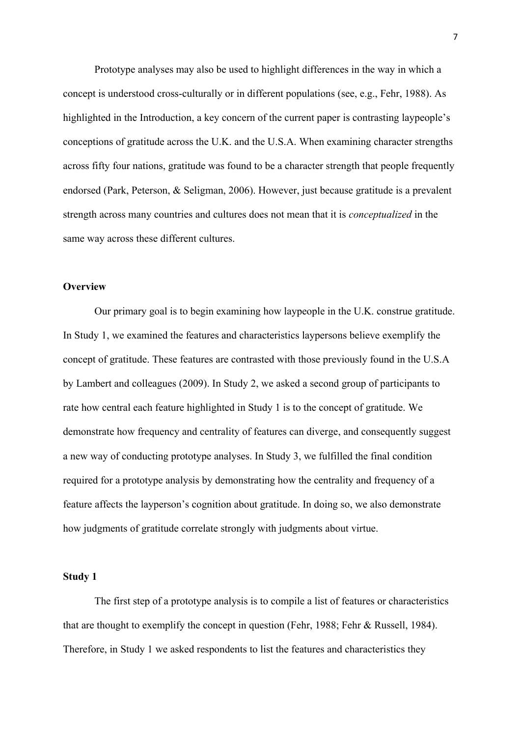Prototype analyses may also be used to highlight differences in the way in which a concept is understood cross-culturally or in different populations (see, e.g., Fehr, 1988). As highlighted in the Introduction, a key concern of the current paper is contrasting laypeople's conceptions of gratitude across the U.K. and the U.S.A. When examining character strengths across fifty four nations, gratitude was found to be a character strength that people frequently endorsed (Park, Peterson, & Seligman, 2006). However, just because gratitude is a prevalent strength across many countries and cultures does not mean that it is *conceptualized* in the same way across these different cultures.

#### **Overview**

Our primary goal is to begin examining how laypeople in the U.K. construe gratitude. In Study 1, we examined the features and characteristics laypersons believe exemplify the concept of gratitude. These features are contrasted with those previously found in the U.S.A by Lambert and colleagues (2009). In Study 2, we asked a second group of participants to rate how central each feature highlighted in Study 1 is to the concept of gratitude. We demonstrate how frequency and centrality of features can diverge, and consequently suggest a new way of conducting prototype analyses. In Study 3, we fulfilled the final condition required for a prototype analysis by demonstrating how the centrality and frequency of a feature affects the layperson's cognition about gratitude. In doing so, we also demonstrate how judgments of gratitude correlate strongly with judgments about virtue.

#### **Study 1**

The first step of a prototype analysis is to compile a list of features or characteristics that are thought to exemplify the concept in question (Fehr, 1988; Fehr & Russell, 1984). Therefore, in Study 1 we asked respondents to list the features and characteristics they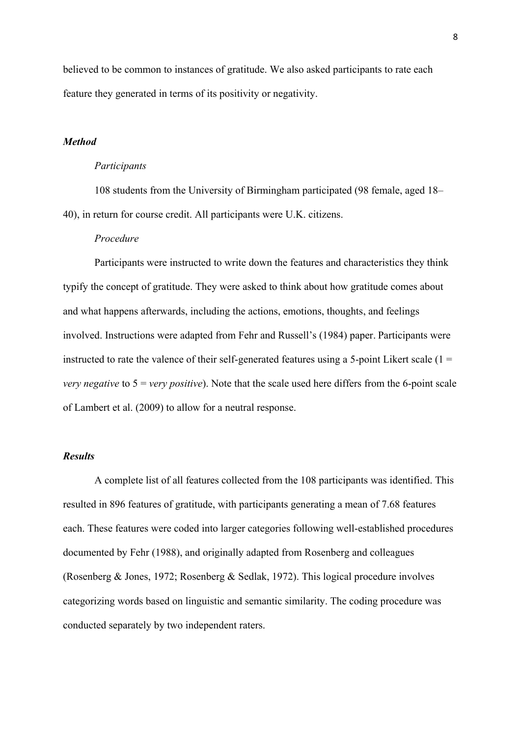believed to be common to instances of gratitude. We also asked participants to rate each feature they generated in terms of its positivity or negativity.

# *Method*

#### *Participants*

108 students from the University of Birmingham participated (98 female, aged 18– 40), in return for course credit. All participants were U.K. citizens.

# *Procedure*

Participants were instructed to write down the features and characteristics they think typify the concept of gratitude. They were asked to think about how gratitude comes about and what happens afterwards, including the actions, emotions, thoughts, and feelings involved. Instructions were adapted from Fehr and Russell's (1984) paper. Participants were instructed to rate the valence of their self-generated features using a 5-point Likert scale  $(1 =$ *very negative* to  $5 = \text{very positive}$ . Note that the scale used here differs from the 6-point scale of Lambert et al. (2009) to allow for a neutral response.

# *Results*

A complete list of all features collected from the 108 participants was identified. This resulted in 896 features of gratitude, with participants generating a mean of 7.68 features each. These features were coded into larger categories following well-established procedures documented by Fehr (1988), and originally adapted from Rosenberg and colleagues (Rosenberg & Jones, 1972; Rosenberg & Sedlak, 1972). This logical procedure involves categorizing words based on linguistic and semantic similarity. The coding procedure was conducted separately by two independent raters.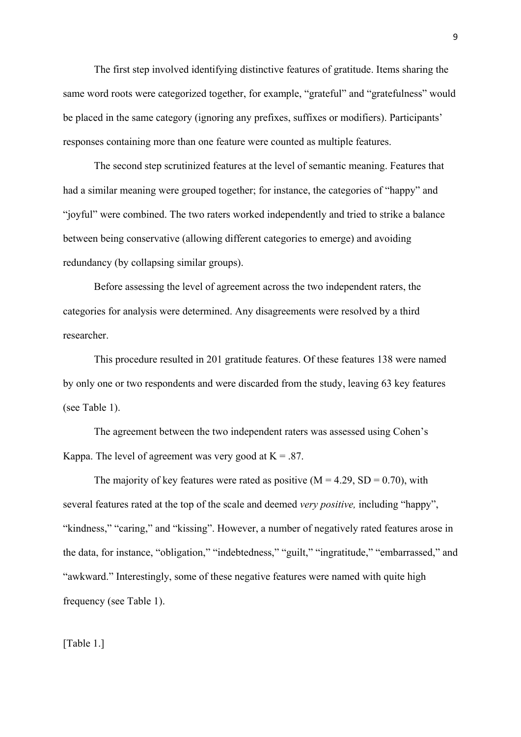The first step involved identifying distinctive features of gratitude. Items sharing the same word roots were categorized together, for example, "grateful" and "gratefulness" would be placed in the same category (ignoring any prefixes, suffixes or modifiers). Participants' responses containing more than one feature were counted as multiple features.

The second step scrutinized features at the level of semantic meaning. Features that had a similar meaning were grouped together; for instance, the categories of "happy" and "joyful" were combined. The two raters worked independently and tried to strike a balance between being conservative (allowing different categories to emerge) and avoiding redundancy (by collapsing similar groups).

Before assessing the level of agreement across the two independent raters, the categories for analysis were determined. Any disagreements were resolved by a third researcher.

This procedure resulted in 201 gratitude features. Of these features 138 were named by only one or two respondents and were discarded from the study, leaving 63 key features (see Table 1).

The agreement between the two independent raters was assessed using Cohen's Kappa. The level of agreement was very good at  $K = .87$ .

The majority of key features were rated as positive  $(M = 4.29, SD = 0.70)$ , with several features rated at the top of the scale and deemed *very positive,* including "happy", "kindness," "caring," and "kissing". However, a number of negatively rated features arose in the data, for instance, "obligation," "indebtedness," "guilt," "ingratitude," "embarrassed," and "awkward." Interestingly, some of these negative features were named with quite high frequency (see Table 1).

[Table 1.]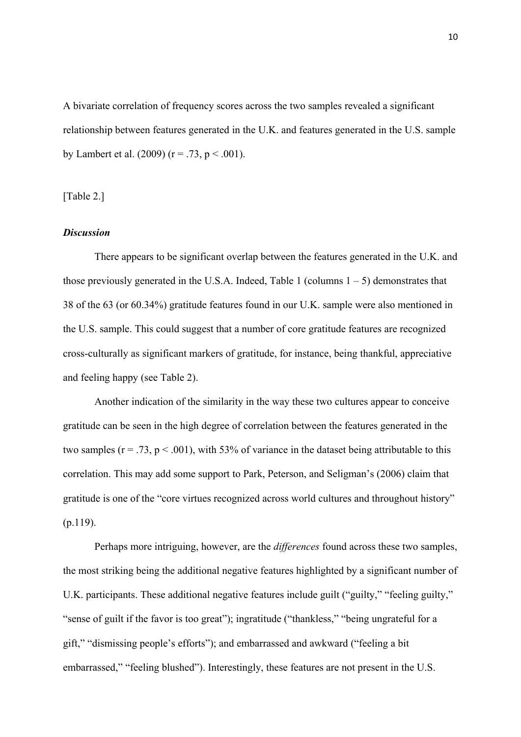A bivariate correlation of frequency scores across the two samples revealed a significant relationship between features generated in the U.K. and features generated in the U.S. sample by Lambert et al.  $(2009)$  (r = .73, p < .001).

[Table 2.]

## *Discussion*

There appears to be significant overlap between the features generated in the U.K. and those previously generated in the U.S.A. Indeed, Table 1 (columns  $1 - 5$ ) demonstrates that 38 of the 63 (or 60.34%) gratitude features found in our U.K. sample were also mentioned in the U.S. sample. This could suggest that a number of core gratitude features are recognized cross-culturally as significant markers of gratitude, for instance, being thankful, appreciative and feeling happy (see Table 2).

Another indication of the similarity in the way these two cultures appear to conceive gratitude can be seen in the high degree of correlation between the features generated in the two samples ( $r = .73$ ,  $p < .001$ ), with 53% of variance in the dataset being attributable to this correlation. This may add some support to Park, Peterson, and Seligman's (2006) claim that gratitude is one of the "core virtues recognized across world cultures and throughout history" (p.119).

Perhaps more intriguing, however, are the *differences* found across these two samples, the most striking being the additional negative features highlighted by a significant number of U.K. participants. These additional negative features include guilt ("guilty," "feeling guilty," "sense of guilt if the favor is too great"); ingratitude ("thankless," "being ungrateful for a gift," "dismissing people's efforts"); and embarrassed and awkward ("feeling a bit embarrassed," "feeling blushed"). Interestingly, these features are not present in the U.S.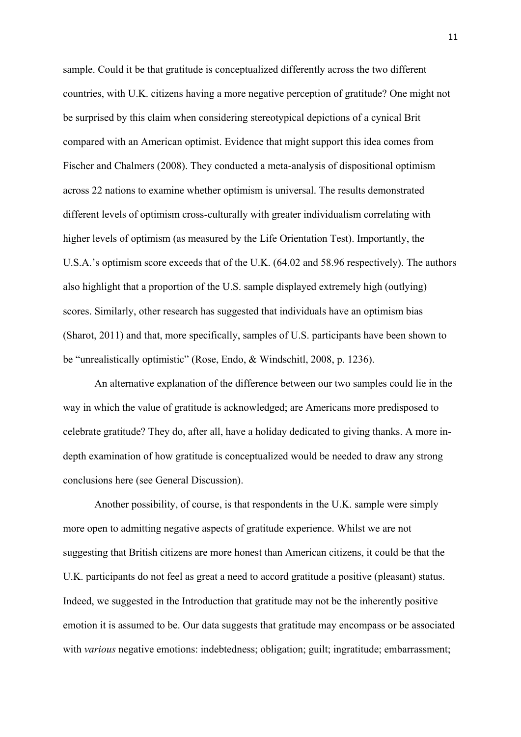sample. Could it be that gratitude is conceptualized differently across the two different countries, with U.K. citizens having a more negative perception of gratitude? One might not be surprised by this claim when considering stereotypical depictions of a cynical Brit compared with an American optimist. Evidence that might support this idea comes from Fischer and Chalmers (2008). They conducted a meta-analysis of dispositional optimism across 22 nations to examine whether optimism is universal. The results demonstrated different levels of optimism cross-culturally with greater individualism correlating with higher levels of optimism (as measured by the Life Orientation Test). Importantly, the U.S.A.'s optimism score exceeds that of the U.K. (64.02 and 58.96 respectively). The authors also highlight that a proportion of the U.S. sample displayed extremely high (outlying) scores. Similarly, other research has suggested that individuals have an optimism bias (Sharot, 2011) and that, more specifically, samples of U.S. participants have been shown to be "unrealistically optimistic" (Rose, Endo, & Windschitl, 2008, p. 1236).

An alternative explanation of the difference between our two samples could lie in the way in which the value of gratitude is acknowledged; are Americans more predisposed to celebrate gratitude? They do, after all, have a holiday dedicated to giving thanks. A more indepth examination of how gratitude is conceptualized would be needed to draw any strong conclusions here (see General Discussion).

Another possibility, of course, is that respondents in the U.K. sample were simply more open to admitting negative aspects of gratitude experience. Whilst we are not suggesting that British citizens are more honest than American citizens, it could be that the U.K. participants do not feel as great a need to accord gratitude a positive (pleasant) status. Indeed, we suggested in the Introduction that gratitude may not be the inherently positive emotion it is assumed to be. Our data suggests that gratitude may encompass or be associated with *various* negative emotions: indebtedness; obligation; guilt; ingratitude; embarrassment;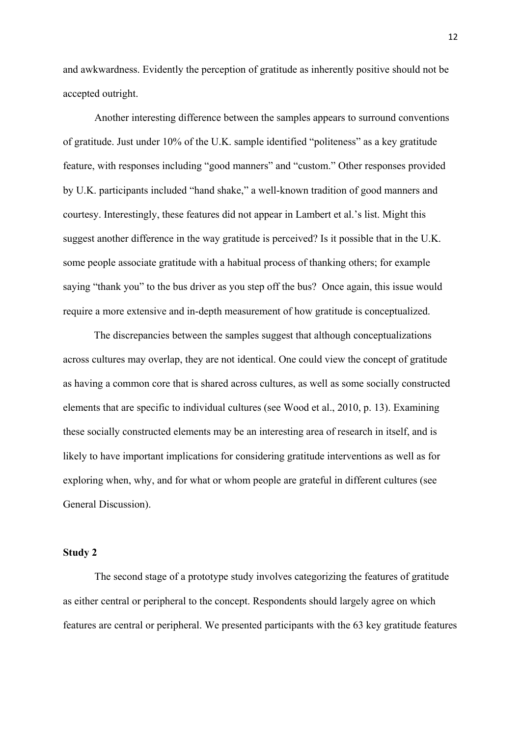and awkwardness. Evidently the perception of gratitude as inherently positive should not be accepted outright.

Another interesting difference between the samples appears to surround conventions of gratitude. Just under 10% of the U.K. sample identified "politeness" as a key gratitude feature, with responses including "good manners" and "custom." Other responses provided by U.K. participants included "hand shake," a well-known tradition of good manners and courtesy. Interestingly, these features did not appear in Lambert et al.'s list. Might this suggest another difference in the way gratitude is perceived? Is it possible that in the U.K. some people associate gratitude with a habitual process of thanking others; for example saying "thank you" to the bus driver as you step off the bus? Once again, this issue would require a more extensive and in-depth measurement of how gratitude is conceptualized.

The discrepancies between the samples suggest that although conceptualizations across cultures may overlap, they are not identical. One could view the concept of gratitude as having a common core that is shared across cultures, as well as some socially constructed elements that are specific to individual cultures (see Wood et al., 2010, p. 13). Examining these socially constructed elements may be an interesting area of research in itself, and is likely to have important implications for considering gratitude interventions as well as for exploring when, why, and for what or whom people are grateful in different cultures (see General Discussion).

## **Study 2**

The second stage of a prototype study involves categorizing the features of gratitude as either central or peripheral to the concept. Respondents should largely agree on which features are central or peripheral. We presented participants with the 63 key gratitude features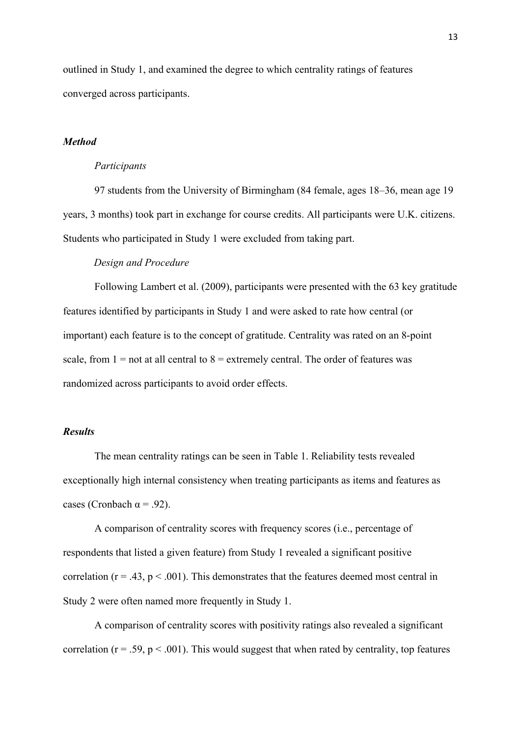outlined in Study 1, and examined the degree to which centrality ratings of features converged across participants.

# *Method*

#### *Participants*

97 students from the University of Birmingham (84 female, ages 18–36, mean age 19 years, 3 months) took part in exchange for course credits. All participants were U.K. citizens. Students who participated in Study 1 were excluded from taking part.

# *Design and Procedure*

Following Lambert et al. (2009), participants were presented with the 63 key gratitude features identified by participants in Study 1 and were asked to rate how central (or important) each feature is to the concept of gratitude. Centrality was rated on an 8-point scale, from  $1 =$  not at all central to  $8 =$  extremely central. The order of features was randomized across participants to avoid order effects.

# *Results*

The mean centrality ratings can be seen in Table 1. Reliability tests revealed exceptionally high internal consistency when treating participants as items and features as cases (Cronbach  $\alpha$  = .92).

A comparison of centrality scores with frequency scores (i.e., percentage of respondents that listed a given feature) from Study 1 revealed a significant positive correlation ( $r = .43$ ,  $p < .001$ ). This demonstrates that the features deemed most central in Study 2 were often named more frequently in Study 1.

A comparison of centrality scores with positivity ratings also revealed a significant correlation ( $r = .59$ ,  $p < .001$ ). This would suggest that when rated by centrality, top features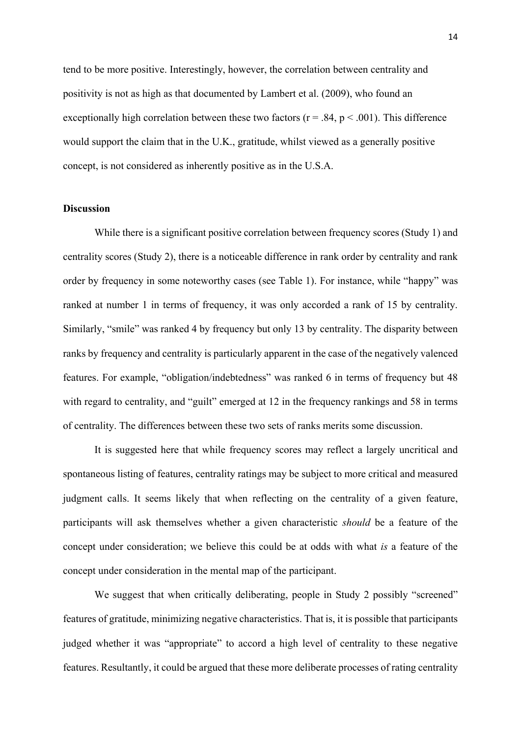tend to be more positive. Interestingly, however, the correlation between centrality and positivity is not as high as that documented by Lambert et al. (2009), who found an exceptionally high correlation between these two factors ( $r = .84$ ,  $p < .001$ ). This difference would support the claim that in the U.K., gratitude, whilst viewed as a generally positive concept, is not considered as inherently positive as in the U.S.A.

# **Discussion**

While there is a significant positive correlation between frequency scores (Study 1) and centrality scores (Study 2), there is a noticeable difference in rank order by centrality and rank order by frequency in some noteworthy cases (see Table 1). For instance, while "happy" was ranked at number 1 in terms of frequency, it was only accorded a rank of 15 by centrality. Similarly, "smile" was ranked 4 by frequency but only 13 by centrality. The disparity between ranks by frequency and centrality is particularly apparent in the case of the negatively valenced features. For example, "obligation/indebtedness" was ranked 6 in terms of frequency but 48 with regard to centrality, and "guilt" emerged at 12 in the frequency rankings and 58 in terms of centrality. The differences between these two sets of ranks merits some discussion.

It is suggested here that while frequency scores may reflect a largely uncritical and spontaneous listing of features, centrality ratings may be subject to more critical and measured judgment calls. It seems likely that when reflecting on the centrality of a given feature, participants will ask themselves whether a given characteristic *should* be a feature of the concept under consideration; we believe this could be at odds with what *is* a feature of the concept under consideration in the mental map of the participant.

We suggest that when critically deliberating, people in Study 2 possibly "screened" features of gratitude, minimizing negative characteristics. That is, it is possible that participants judged whether it was "appropriate" to accord a high level of centrality to these negative features. Resultantly, it could be argued that these more deliberate processes of rating centrality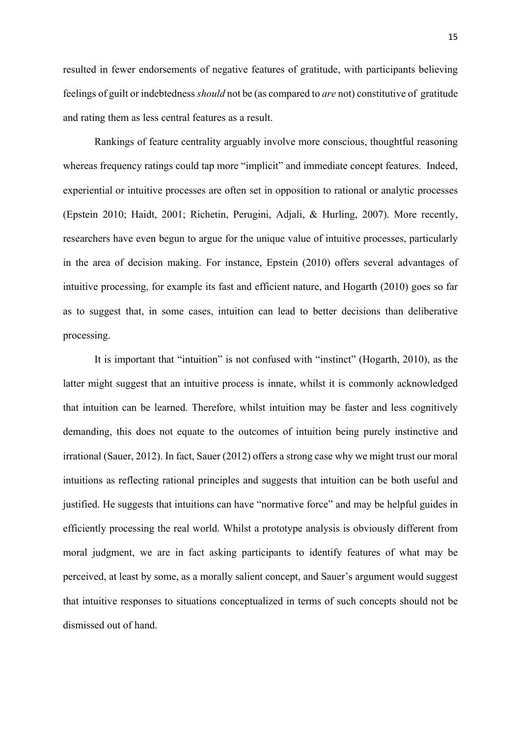resulted in fewer endorsements of negative features of gratitude, with participants believing feelings of guilt or indebtedness *should* not be (as compared to *are* not) constitutive of gratitude and rating them as less central features as a result.

Rankings of feature centrality arguably involve more conscious, thoughtful reasoning whereas frequency ratings could tap more "implicit" and immediate concept features. Indeed, experiential or intuitive processes are often set in opposition to rational or analytic processes (Epstein 2010; Haidt, 2001; Richetin, Perugini, Adjali, & Hurling, 2007). More recently, researchers have even begun to argue for the unique value of intuitive processes, particularly in the area of decision making. For instance, Epstein (2010) offers several advantages of intuitive processing, for example its fast and efficient nature, and Hogarth (2010) goes so far as to suggest that, in some cases, intuition can lead to better decisions than deliberative processing.

It is important that "intuition" is not confused with "instinct" (Hogarth, 2010), as the latter might suggest that an intuitive process is innate, whilst it is commonly acknowledged that intuition can be learned. Therefore, whilst intuition may be faster and less cognitively demanding, this does not equate to the outcomes of intuition being purely instinctive and irrational (Sauer, 2012). In fact, Sauer (2012) offers a strong case why we might trust our moral intuitions as reflecting rational principles and suggests that intuition can be both useful and justified. He suggests that intuitions can have "normative force" and may be helpful guides in efficiently processing the real world. Whilst a prototype analysis is obviously different from moral judgment, we are in fact asking participants to identify features of what may be perceived, at least by some, as a morally salient concept, and Sauer's argument would suggest that intuitive responses to situations conceptualized in terms of such concepts should not be dismissed out of hand.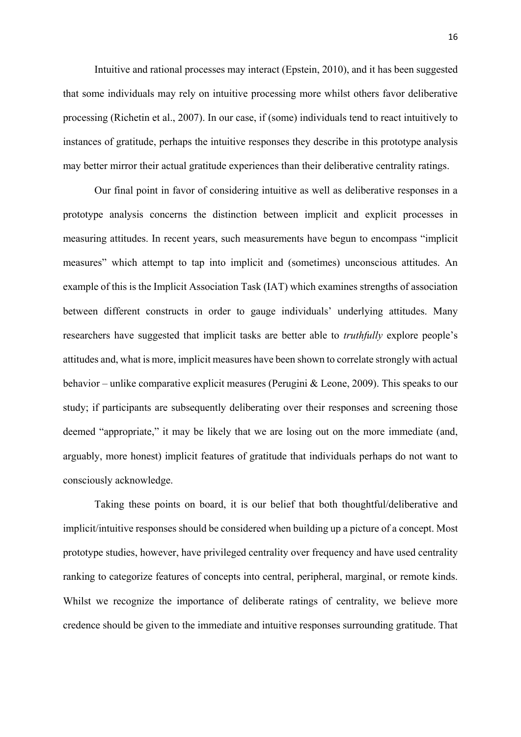Intuitive and rational processes may interact (Epstein, 2010), and it has been suggested that some individuals may rely on intuitive processing more whilst others favor deliberative processing (Richetin et al., 2007). In our case, if (some) individuals tend to react intuitively to instances of gratitude, perhaps the intuitive responses they describe in this prototype analysis may better mirror their actual gratitude experiences than their deliberative centrality ratings.

Our final point in favor of considering intuitive as well as deliberative responses in a prototype analysis concerns the distinction between implicit and explicit processes in measuring attitudes. In recent years, such measurements have begun to encompass "implicit measures" which attempt to tap into implicit and (sometimes) unconscious attitudes. An example of this is the Implicit Association Task (IAT) which examines strengths of association between different constructs in order to gauge individuals' underlying attitudes. Many researchers have suggested that implicit tasks are better able to *truthfully* explore people's attitudes and, what is more, implicit measures have been shown to correlate strongly with actual behavior – unlike comparative explicit measures (Perugini & Leone, 2009). This speaks to our study; if participants are subsequently deliberating over their responses and screening those deemed "appropriate," it may be likely that we are losing out on the more immediate (and, arguably, more honest) implicit features of gratitude that individuals perhaps do not want to consciously acknowledge.

Taking these points on board, it is our belief that both thoughtful/deliberative and implicit/intuitive responses should be considered when building up a picture of a concept. Most prototype studies, however, have privileged centrality over frequency and have used centrality ranking to categorize features of concepts into central, peripheral, marginal, or remote kinds. Whilst we recognize the importance of deliberate ratings of centrality, we believe more credence should be given to the immediate and intuitive responses surrounding gratitude. That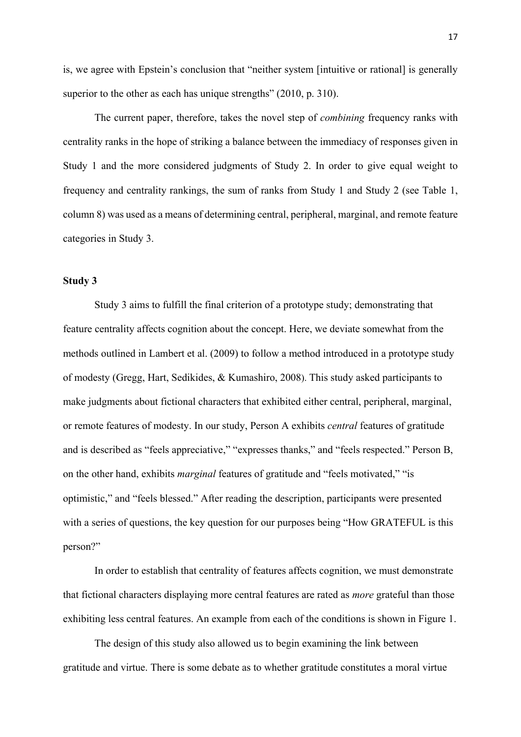is, we agree with Epstein's conclusion that "neither system [intuitive or rational] is generally superior to the other as each has unique strengths" (2010, p. 310).

The current paper, therefore, takes the novel step of *combining* frequency ranks with centrality ranks in the hope of striking a balance between the immediacy of responses given in Study 1 and the more considered judgments of Study 2. In order to give equal weight to frequency and centrality rankings, the sum of ranks from Study 1 and Study 2 (see Table 1, column 8) was used as a means of determining central, peripheral, marginal, and remote feature categories in Study 3.

#### **Study 3**

Study 3 aims to fulfill the final criterion of a prototype study; demonstrating that feature centrality affects cognition about the concept. Here, we deviate somewhat from the methods outlined in Lambert et al. (2009) to follow a method introduced in a prototype study of modesty (Gregg, Hart, Sedikides, & Kumashiro, 2008). This study asked participants to make judgments about fictional characters that exhibited either central, peripheral, marginal, or remote features of modesty. In our study, Person A exhibits *central* features of gratitude and is described as "feels appreciative," "expresses thanks," and "feels respected." Person B, on the other hand, exhibits *marginal* features of gratitude and "feels motivated," "is optimistic," and "feels blessed." After reading the description, participants were presented with a series of questions, the key question for our purposes being "How GRATEFUL is this person?"

In order to establish that centrality of features affects cognition, we must demonstrate that fictional characters displaying more central features are rated as *more* grateful than those exhibiting less central features. An example from each of the conditions is shown in Figure 1.

The design of this study also allowed us to begin examining the link between gratitude and virtue. There is some debate as to whether gratitude constitutes a moral virtue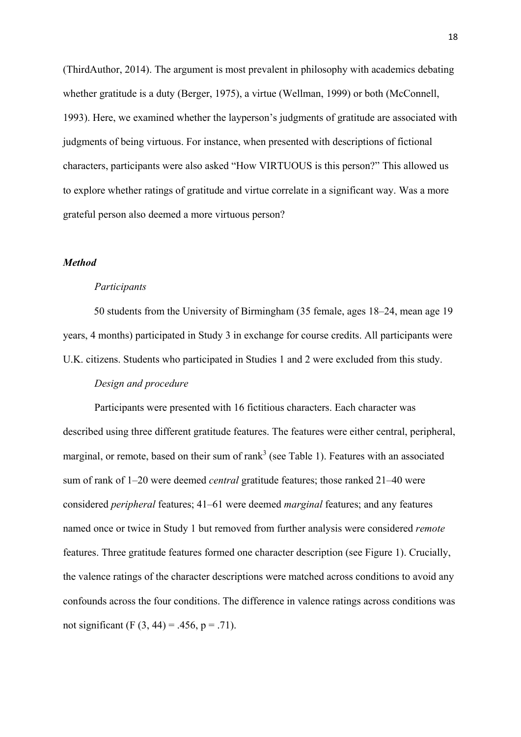(ThirdAuthor, 2014). The argument is most prevalent in philosophy with academics debating whether gratitude is a duty (Berger, 1975), a virtue (Wellman, 1999) or both (McConnell, 1993). Here, we examined whether the layperson's judgments of gratitude are associated with judgments of being virtuous. For instance, when presented with descriptions of fictional characters, participants were also asked "How VIRTUOUS is this person?" This allowed us to explore whether ratings of gratitude and virtue correlate in a significant way. Was a more grateful person also deemed a more virtuous person?

# *Method*

#### *Participants*

50 students from the University of Birmingham (35 female, ages 18–24, mean age 19 years, 4 months) participated in Study 3 in exchange for course credits. All participants were U.K. citizens. Students who participated in Studies 1 and 2 were excluded from this study.

# *Design and procedure*

Participants were presented with 16 fictitious characters. Each character was described using three different gratitude features. The features were either central, peripheral, marginal, or remote, based on their sum of rank<sup>3</sup> (see Table 1). Features with an associated sum of rank of 1–20 were deemed *central* gratitude features; those ranked 21–40 were considered *peripheral* features; 41–61 were deemed *marginal* features; and any features named once or twice in Study 1 but removed from further analysis were considered *remote* features. Three gratitude features formed one character description (see Figure 1). Crucially, the valence ratings of the character descriptions were matched across conditions to avoid any confounds across the four conditions. The difference in valence ratings across conditions was not significant (F  $(3, 44) = .456$ , p = .71).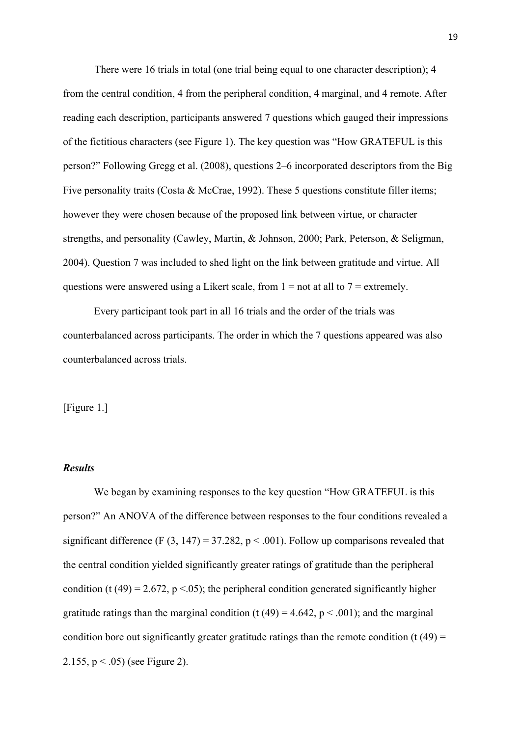There were 16 trials in total (one trial being equal to one character description); 4 from the central condition, 4 from the peripheral condition, 4 marginal, and 4 remote. After reading each description, participants answered 7 questions which gauged their impressions of the fictitious characters (see Figure 1). The key question was "How GRATEFUL is this person?" Following Gregg et al. (2008), questions 2–6 incorporated descriptors from the Big Five personality traits (Costa & McCrae, 1992). These 5 questions constitute filler items; however they were chosen because of the proposed link between virtue, or character strengths, and personality (Cawley, Martin, & Johnson, 2000; Park, Peterson, & Seligman, 2004). Question 7 was included to shed light on the link between gratitude and virtue. All questions were answered using a Likert scale, from  $1 =$  not at all to  $7 =$  extremely.

Every participant took part in all 16 trials and the order of the trials was counterbalanced across participants. The order in which the 7 questions appeared was also counterbalanced across trials.

[Figure 1.]

# *Results*

We began by examining responses to the key question "How GRATEFUL is this person?" An ANOVA of the difference between responses to the four conditions revealed a significant difference (F  $(3, 147) = 37.282$ , p < .001). Follow up comparisons revealed that the central condition yielded significantly greater ratings of gratitude than the peripheral condition (t (49) = 2.672, p <.05); the peripheral condition generated significantly higher gratitude ratings than the marginal condition (t (49) = 4.642,  $p < .001$ ); and the marginal condition bore out significantly greater gratitude ratings than the remote condition (t  $(49)$  = 2.155,  $p < .05$ ) (see Figure 2).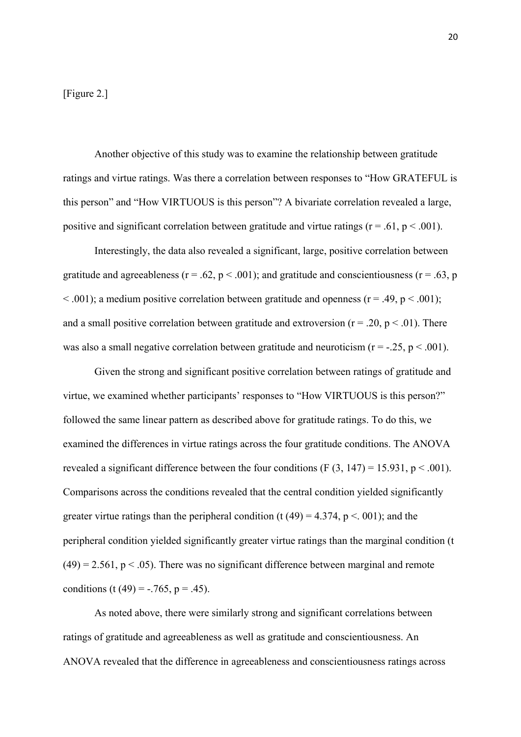[Figure 2.]

Another objective of this study was to examine the relationship between gratitude ratings and virtue ratings. Was there a correlation between responses to "How GRATEFUL is this person" and "How VIRTUOUS is this person"? A bivariate correlation revealed a large, positive and significant correlation between gratitude and virtue ratings ( $r = .61$ ,  $p < .001$ ).

Interestingly, the data also revealed a significant, large, positive correlation between gratitude and agreeableness ( $r = .62$ ,  $p < .001$ ); and gratitude and conscientiousness ( $r = .63$ , p  $\leq$  .001); a medium positive correlation between gratitude and openness (r = .49, p  $\leq$  .001); and a small positive correlation between gratitude and extroversion ( $r = .20$ ,  $p < .01$ ). There was also a small negative correlation between gratitude and neuroticism ( $r = -0.25$ ,  $p < 0.001$ ).

Given the strong and significant positive correlation between ratings of gratitude and virtue, we examined whether participants' responses to "How VIRTUOUS is this person?" followed the same linear pattern as described above for gratitude ratings. To do this, we examined the differences in virtue ratings across the four gratitude conditions. The ANOVA revealed a significant difference between the four conditions (F  $(3, 147) = 15.931$ , p < .001). Comparisons across the conditions revealed that the central condition yielded significantly greater virtue ratings than the peripheral condition (t (49) = 4.374, p < 001); and the peripheral condition yielded significantly greater virtue ratings than the marginal condition (t  $(49) = 2.561$ ,  $p < .05$ ). There was no significant difference between marginal and remote conditions (t (49) =  $-.765$ , p = .45).

As noted above, there were similarly strong and significant correlations between ratings of gratitude and agreeableness as well as gratitude and conscientiousness. An ANOVA revealed that the difference in agreeableness and conscientiousness ratings across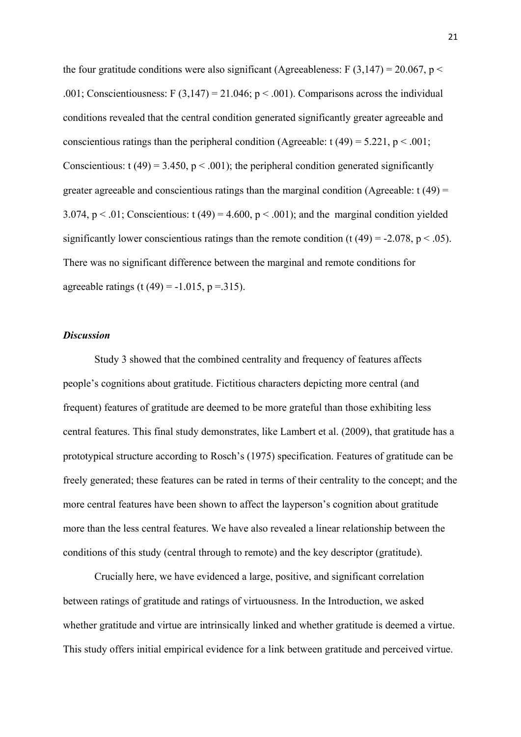the four gratitude conditions were also significant (Agreeableness: F  $(3,147) = 20.067$ , p < .001; Conscientiousness: F (3,147) = 21.046;  $p < .001$ ). Comparisons across the individual conditions revealed that the central condition generated significantly greater agreeable and conscientious ratings than the peripheral condition (Agreeable:  $t(49) = 5.221$ ,  $p < .001$ ; Conscientious:  $t(49) = 3.450$ ,  $p < .001$ ); the peripheral condition generated significantly greater agreeable and conscientious ratings than the marginal condition (Agreeable:  $t(49)$  = 3.074,  $p < .01$ ; Conscientious: t (49) = 4.600,  $p < .001$ ); and the marginal condition yielded significantly lower conscientious ratings than the remote condition (t (49) = -2.078, p < .05). There was no significant difference between the marginal and remote conditions for agreeable ratings (t (49) =  $-1.015$ , p = 315).

# *Discussion*

Study 3 showed that the combined centrality and frequency of features affects people's cognitions about gratitude. Fictitious characters depicting more central (and frequent) features of gratitude are deemed to be more grateful than those exhibiting less central features. This final study demonstrates, like Lambert et al. (2009), that gratitude has a prototypical structure according to Rosch's (1975) specification. Features of gratitude can be freely generated; these features can be rated in terms of their centrality to the concept; and the more central features have been shown to affect the layperson's cognition about gratitude more than the less central features. We have also revealed a linear relationship between the conditions of this study (central through to remote) and the key descriptor (gratitude).

Crucially here, we have evidenced a large, positive, and significant correlation between ratings of gratitude and ratings of virtuousness. In the Introduction, we asked whether gratitude and virtue are intrinsically linked and whether gratitude is deemed a virtue. This study offers initial empirical evidence for a link between gratitude and perceived virtue.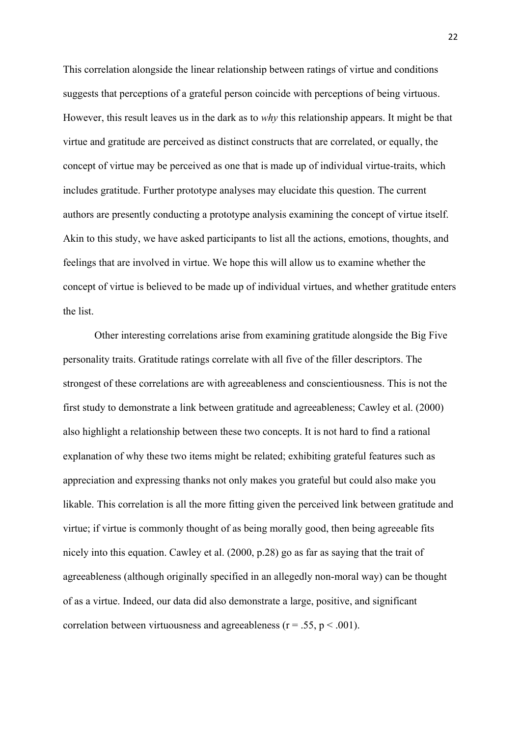This correlation alongside the linear relationship between ratings of virtue and conditions suggests that perceptions of a grateful person coincide with perceptions of being virtuous. However, this result leaves us in the dark as to *why* this relationship appears. It might be that virtue and gratitude are perceived as distinct constructs that are correlated, or equally, the concept of virtue may be perceived as one that is made up of individual virtue-traits, which includes gratitude. Further prototype analyses may elucidate this question. The current authors are presently conducting a prototype analysis examining the concept of virtue itself. Akin to this study, we have asked participants to list all the actions, emotions, thoughts, and feelings that are involved in virtue. We hope this will allow us to examine whether the concept of virtue is believed to be made up of individual virtues, and whether gratitude enters the list.

Other interesting correlations arise from examining gratitude alongside the Big Five personality traits. Gratitude ratings correlate with all five of the filler descriptors. The strongest of these correlations are with agreeableness and conscientiousness. This is not the first study to demonstrate a link between gratitude and agreeableness; Cawley et al. (2000) also highlight a relationship between these two concepts. It is not hard to find a rational explanation of why these two items might be related; exhibiting grateful features such as appreciation and expressing thanks not only makes you grateful but could also make you likable. This correlation is all the more fitting given the perceived link between gratitude and virtue; if virtue is commonly thought of as being morally good, then being agreeable fits nicely into this equation. Cawley et al. (2000, p.28) go as far as saying that the trait of agreeableness (although originally specified in an allegedly non-moral way) can be thought of as a virtue. Indeed, our data did also demonstrate a large, positive, and significant correlation between virtuousness and agreeableness ( $r = .55$ ,  $p < .001$ ).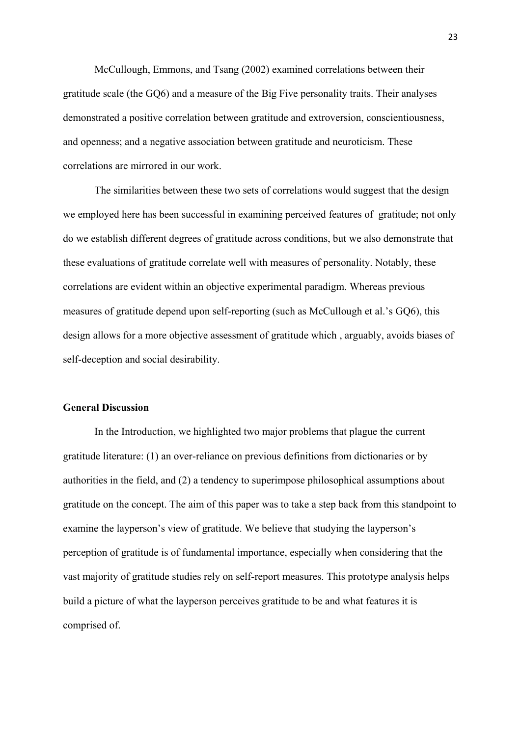McCullough, Emmons, and Tsang (2002) examined correlations between their gratitude scale (the GQ6) and a measure of the Big Five personality traits. Their analyses demonstrated a positive correlation between gratitude and extroversion, conscientiousness, and openness; and a negative association between gratitude and neuroticism. These correlations are mirrored in our work.

The similarities between these two sets of correlations would suggest that the design we employed here has been successful in examining perceived features of gratitude; not only do we establish different degrees of gratitude across conditions, but we also demonstrate that these evaluations of gratitude correlate well with measures of personality. Notably, these correlations are evident within an objective experimental paradigm. Whereas previous measures of gratitude depend upon self-reporting (such as McCullough et al.'s GQ6), this design allows for a more objective assessment of gratitude which , arguably, avoids biases of self-deception and social desirability.

# **General Discussion**

In the Introduction, we highlighted two major problems that plague the current gratitude literature: (1) an over-reliance on previous definitions from dictionaries or by authorities in the field, and (2) a tendency to superimpose philosophical assumptions about gratitude on the concept. The aim of this paper was to take a step back from this standpoint to examine the layperson's view of gratitude. We believe that studying the layperson's perception of gratitude is of fundamental importance, especially when considering that the vast majority of gratitude studies rely on self-report measures. This prototype analysis helps build a picture of what the layperson perceives gratitude to be and what features it is comprised of.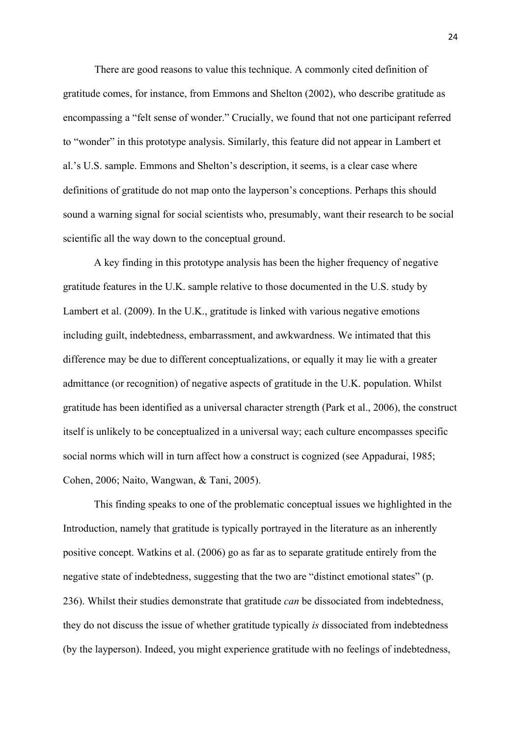There are good reasons to value this technique. A commonly cited definition of gratitude comes, for instance, from Emmons and Shelton (2002), who describe gratitude as encompassing a "felt sense of wonder." Crucially, we found that not one participant referred to "wonder" in this prototype analysis. Similarly, this feature did not appear in Lambert et al.'s U.S. sample. Emmons and Shelton's description, it seems, is a clear case where definitions of gratitude do not map onto the layperson's conceptions. Perhaps this should sound a warning signal for social scientists who, presumably, want their research to be social scientific all the way down to the conceptual ground.

A key finding in this prototype analysis has been the higher frequency of negative gratitude features in the U.K. sample relative to those documented in the U.S. study by Lambert et al. (2009). In the U.K., gratitude is linked with various negative emotions including guilt, indebtedness, embarrassment, and awkwardness. We intimated that this difference may be due to different conceptualizations, or equally it may lie with a greater admittance (or recognition) of negative aspects of gratitude in the U.K. population. Whilst gratitude has been identified as a universal character strength (Park et al., 2006), the construct itself is unlikely to be conceptualized in a universal way; each culture encompasses specific social norms which will in turn affect how a construct is cognized (see Appadurai, 1985; Cohen, 2006; Naito, Wangwan, & Tani, 2005).

This finding speaks to one of the problematic conceptual issues we highlighted in the Introduction, namely that gratitude is typically portrayed in the literature as an inherently positive concept. Watkins et al. (2006) go as far as to separate gratitude entirely from the negative state of indebtedness, suggesting that the two are "distinct emotional states" (p. 236). Whilst their studies demonstrate that gratitude *can* be dissociated from indebtedness, they do not discuss the issue of whether gratitude typically *is* dissociated from indebtedness (by the layperson). Indeed, you might experience gratitude with no feelings of indebtedness,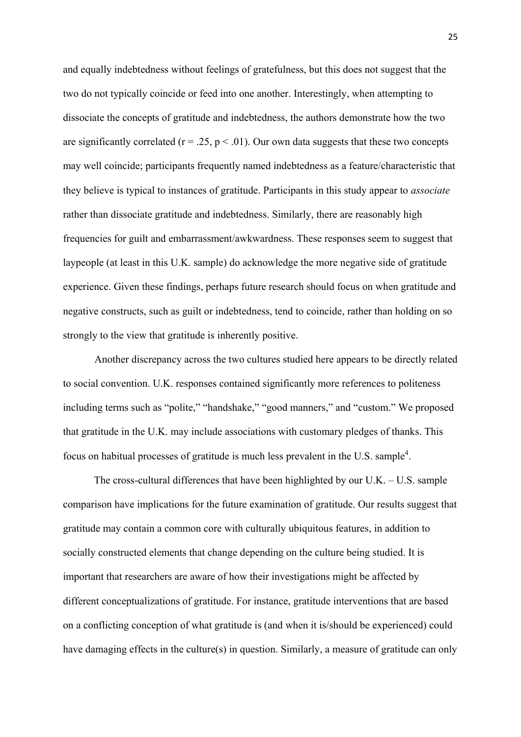and equally indebtedness without feelings of gratefulness, but this does not suggest that the two do not typically coincide or feed into one another. Interestingly, when attempting to dissociate the concepts of gratitude and indebtedness, the authors demonstrate how the two are significantly correlated ( $r = .25$ ,  $p < .01$ ). Our own data suggests that these two concepts may well coincide; participants frequently named indebtedness as a feature/characteristic that they believe is typical to instances of gratitude. Participants in this study appear to *associate* rather than dissociate gratitude and indebtedness. Similarly, there are reasonably high frequencies for guilt and embarrassment/awkwardness. These responses seem to suggest that laypeople (at least in this U.K. sample) do acknowledge the more negative side of gratitude experience. Given these findings, perhaps future research should focus on when gratitude and negative constructs, such as guilt or indebtedness, tend to coincide, rather than holding on so strongly to the view that gratitude is inherently positive.

Another discrepancy across the two cultures studied here appears to be directly related to social convention. U.K. responses contained significantly more references to politeness including terms such as "polite," "handshake," "good manners," and "custom." We proposed that gratitude in the U.K. may include associations with customary pledges of thanks. This focus on habitual processes of gratitude is much less prevalent in the U.S. sample<sup>4</sup>.

The cross-cultural differences that have been highlighted by our U.K. – U.S. sample comparison have implications for the future examination of gratitude. Our results suggest that gratitude may contain a common core with culturally ubiquitous features, in addition to socially constructed elements that change depending on the culture being studied. It is important that researchers are aware of how their investigations might be affected by different conceptualizations of gratitude. For instance, gratitude interventions that are based on a conflicting conception of what gratitude is (and when it is/should be experienced) could have damaging effects in the culture(s) in question. Similarly, a measure of gratitude can only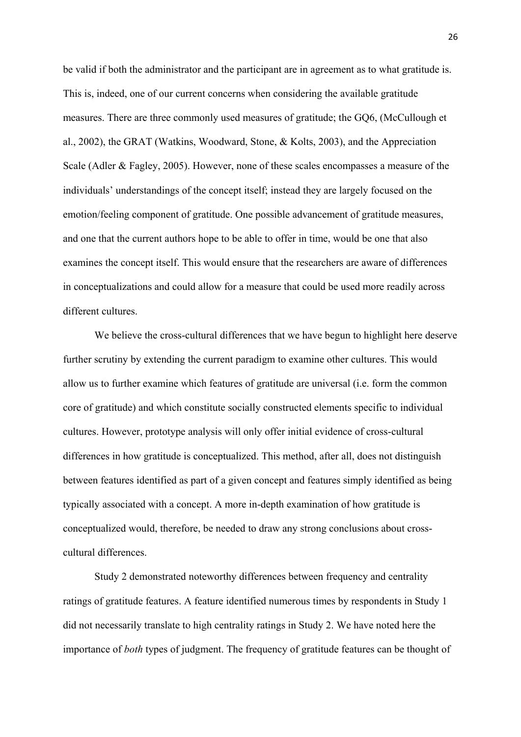be valid if both the administrator and the participant are in agreement as to what gratitude is. This is, indeed, one of our current concerns when considering the available gratitude measures. There are three commonly used measures of gratitude; the GQ6, (McCullough et al., 2002), the GRAT (Watkins, Woodward, Stone, & Kolts, 2003), and the Appreciation Scale (Adler & Fagley, 2005). However, none of these scales encompasses a measure of the individuals' understandings of the concept itself; instead they are largely focused on the emotion/feeling component of gratitude. One possible advancement of gratitude measures, and one that the current authors hope to be able to offer in time, would be one that also examines the concept itself. This would ensure that the researchers are aware of differences in conceptualizations and could allow for a measure that could be used more readily across different cultures.

We believe the cross-cultural differences that we have begun to highlight here deserve further scrutiny by extending the current paradigm to examine other cultures. This would allow us to further examine which features of gratitude are universal (i.e. form the common core of gratitude) and which constitute socially constructed elements specific to individual cultures. However, prototype analysis will only offer initial evidence of cross-cultural differences in how gratitude is conceptualized. This method, after all, does not distinguish between features identified as part of a given concept and features simply identified as being typically associated with a concept. A more in-depth examination of how gratitude is conceptualized would, therefore, be needed to draw any strong conclusions about crosscultural differences.

Study 2 demonstrated noteworthy differences between frequency and centrality ratings of gratitude features. A feature identified numerous times by respondents in Study 1 did not necessarily translate to high centrality ratings in Study 2. We have noted here the importance of *both* types of judgment. The frequency of gratitude features can be thought of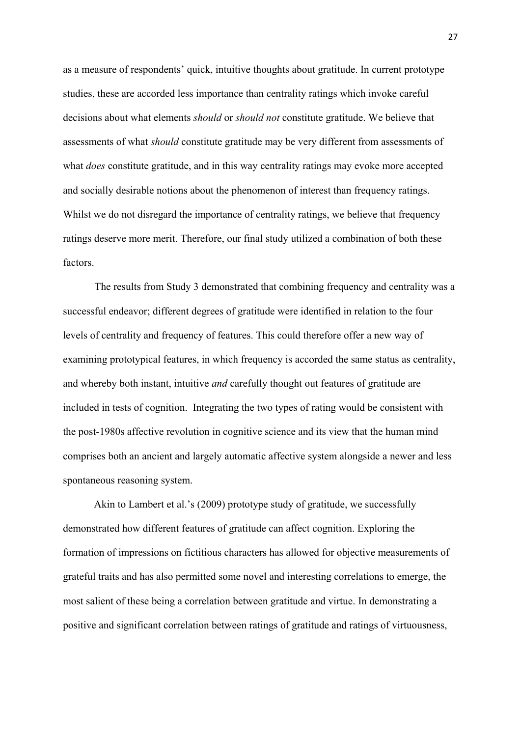as a measure of respondents' quick, intuitive thoughts about gratitude. In current prototype studies, these are accorded less importance than centrality ratings which invoke careful decisions about what elements *should* or *should not* constitute gratitude. We believe that assessments of what *should* constitute gratitude may be very different from assessments of what *does* constitute gratitude, and in this way centrality ratings may evoke more accepted and socially desirable notions about the phenomenon of interest than frequency ratings. Whilst we do not disregard the importance of centrality ratings, we believe that frequency ratings deserve more merit. Therefore, our final study utilized a combination of both these factors.

The results from Study 3 demonstrated that combining frequency and centrality was a successful endeavor; different degrees of gratitude were identified in relation to the four levels of centrality and frequency of features. This could therefore offer a new way of examining prototypical features, in which frequency is accorded the same status as centrality, and whereby both instant, intuitive *and* carefully thought out features of gratitude are included in tests of cognition. Integrating the two types of rating would be consistent with the post-1980s affective revolution in cognitive science and its view that the human mind comprises both an ancient and largely automatic affective system alongside a newer and less spontaneous reasoning system.

Akin to Lambert et al.'s (2009) prototype study of gratitude, we successfully demonstrated how different features of gratitude can affect cognition. Exploring the formation of impressions on fictitious characters has allowed for objective measurements of grateful traits and has also permitted some novel and interesting correlations to emerge, the most salient of these being a correlation between gratitude and virtue. In demonstrating a positive and significant correlation between ratings of gratitude and ratings of virtuousness,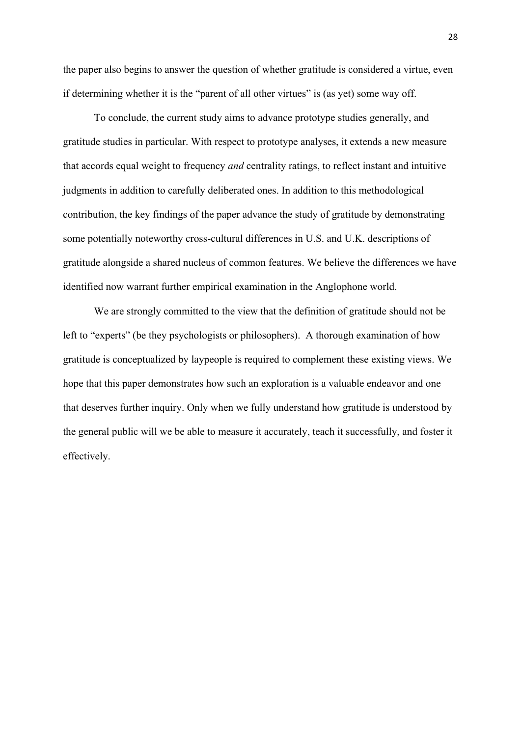the paper also begins to answer the question of whether gratitude is considered a virtue, even if determining whether it is the "parent of all other virtues" is (as yet) some way off.

To conclude, the current study aims to advance prototype studies generally, and gratitude studies in particular. With respect to prototype analyses, it extends a new measure that accords equal weight to frequency *and* centrality ratings, to reflect instant and intuitive judgments in addition to carefully deliberated ones. In addition to this methodological contribution, the key findings of the paper advance the study of gratitude by demonstrating some potentially noteworthy cross-cultural differences in U.S. and U.K. descriptions of gratitude alongside a shared nucleus of common features. We believe the differences we have identified now warrant further empirical examination in the Anglophone world.

We are strongly committed to the view that the definition of gratitude should not be left to "experts" (be they psychologists or philosophers). A thorough examination of how gratitude is conceptualized by laypeople is required to complement these existing views. We hope that this paper demonstrates how such an exploration is a valuable endeavor and one that deserves further inquiry. Only when we fully understand how gratitude is understood by the general public will we be able to measure it accurately, teach it successfully, and foster it effectively.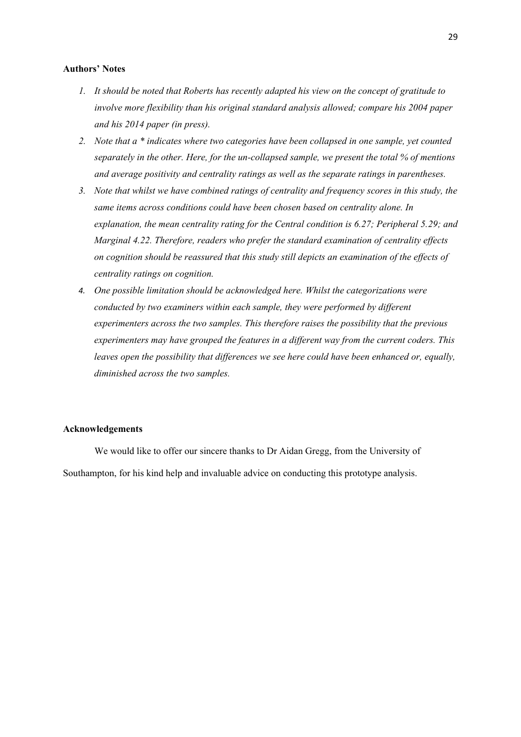#### **Authors' Notes**

- *1. It should be noted that Roberts has recently adapted his view on the concept of gratitude to involve more flexibility than his original standard analysis allowed; compare his 2004 paper and his 2014 paper (in press).*
- *2. Note that a \* indicates where two categories have been collapsed in one sample, yet counted separately in the other. Here, for the un-collapsed sample, we present the total % of mentions and average positivity and centrality ratings as well as the separate ratings in parentheses.*
- *3. Note that whilst we have combined ratings of centrality and frequency scores in this study, the same items across conditions could have been chosen based on centrality alone. In explanation, the mean centrality rating for the Central condition is 6.27; Peripheral 5.29; and Marginal 4.22. Therefore, readers who prefer the standard examination of centrality effects on cognition should be reassured that this study still depicts an examination of the effects of centrality ratings on cognition.*
- *4. One possible limitation should be acknowledged here. Whilst the categorizations were conducted by two examiners within each sample, they were performed by different experimenters across the two samples. This therefore raises the possibility that the previous experimenters may have grouped the features in a different way from the current coders. This leaves open the possibility that differences we see here could have been enhanced or, equally, diminished across the two samples.*

#### **Acknowledgements**

We would like to offer our sincere thanks to Dr Aidan Gregg, from the University of Southampton, for his kind help and invaluable advice on conducting this prototype analysis.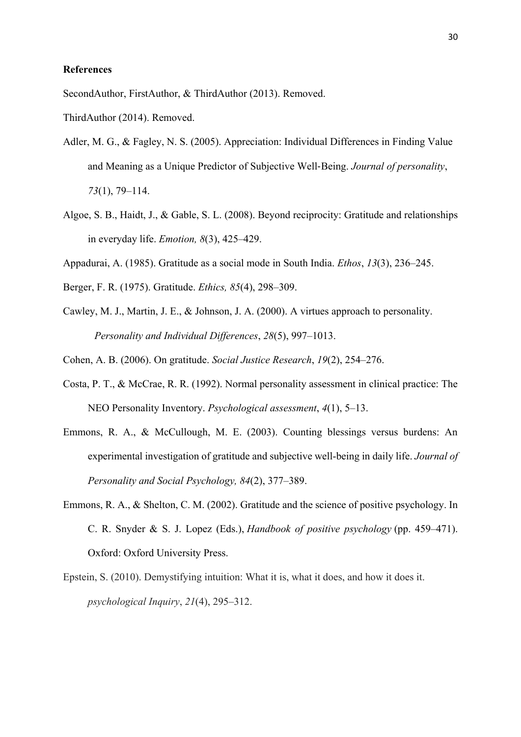## **References**

SecondAuthor, FirstAuthor, & ThirdAuthor (2013). Removed.

ThirdAuthor (2014). Removed.

- Adler, M. G., & Fagley, N. S. (2005). Appreciation: Individual Differences in Finding Value and Meaning as a Unique Predictor of Subjective Well‐Being. *Journal of personality*, *73*(1), 79–114.
- Algoe, S. B., Haidt, J., & Gable, S. L. (2008). Beyond reciprocity: Gratitude and relationships in everyday life. *Emotion, 8*(3), 425–429.
- Appadurai, A. (1985). Gratitude as a social mode in South India. *Ethos*, *13*(3), 236–245.
- Berger, F. R. (1975). Gratitude. *Ethics, 85*(4), 298–309.
- Cawley, M. J., Martin, J. E., & Johnson, J. A. (2000). A virtues approach to personality. *Personality and Individual Differences*, *28*(5), 997–1013.
- Cohen, A. B. (2006). On gratitude. *Social Justice Research*, *19*(2), 254–276.
- Costa, P. T., & McCrae, R. R. (1992). Normal personality assessment in clinical practice: The NEO Personality Inventory. *Psychological assessment*, *4*(1), 5–13.
- Emmons, R. A., & McCullough, M. E. (2003). Counting blessings versus burdens: An experimental investigation of gratitude and subjective well-being in daily life. *Journal of Personality and Social Psychology, 84*(2), 377–389.
- Emmons, R. A., & Shelton, C. M. (2002). Gratitude and the science of positive psychology. In C. R. Snyder & S. J. Lopez (Eds.), *Handbook of positive psychology* (pp. 459–471). Oxford: Oxford University Press.
- Epstein, S. (2010). Demystifying intuition: What it is, what it does, and how it does it. *psychological Inquiry*, *21*(4), 295–312.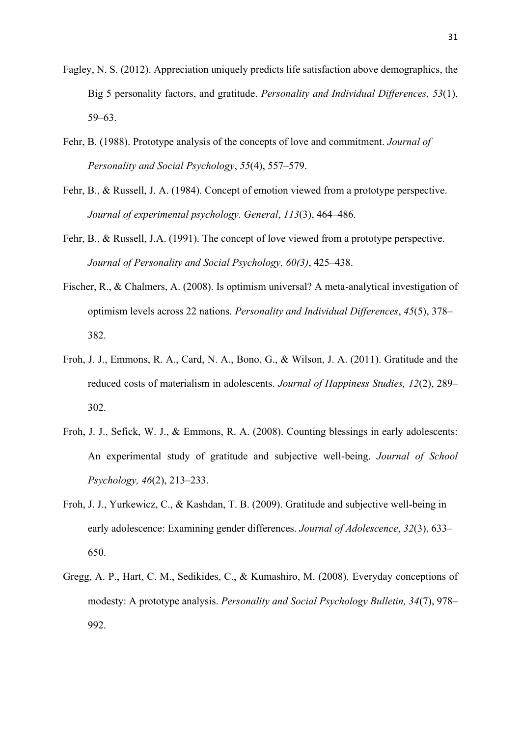- Fagley, N. S. (2012). Appreciation uniquely predicts life satisfaction above demographics, the Big 5 personality factors, and gratitude. *Personality and Individual Differences, 53*(1), 59–63.
- Fehr, B. (1988). Prototype analysis of the concepts of love and commitment. *Journal of Personality and Social Psychology*, *55*(4), 557–579.
- Fehr, B., & Russell, J. A. (1984). Concept of emotion viewed from a prototype perspective. *Journal of experimental psychology. General*, *113*(3), 464–486.
- Fehr, B., & Russell, J.A. (1991). The concept of love viewed from a prototype perspective. *Journal of Personality and Social Psychology, 60(3)*, 425–438.
- Fischer, R., & Chalmers, A. (2008). Is optimism universal? A meta-analytical investigation of optimism levels across 22 nations. *Personality and Individual Differences*, *45*(5), 378– 382.
- Froh, J. J., Emmons, R. A., Card, N. A., Bono, G., & Wilson, J. A. (2011). Gratitude and the reduced costs of materialism in adolescents. *Journal of Happiness Studies, 12*(2), 289– 302.
- Froh, J. J., Sefick, W. J., & Emmons, R. A. (2008). Counting blessings in early adolescents: An experimental study of gratitude and subjective well-being. *Journal of School Psychology, 46*(2), 213–233.
- Froh, J. J., Yurkewicz, C., & Kashdan, T. B. (2009). Gratitude and subjective well-being in early adolescence: Examining gender differences. *Journal of Adolescence*, *32*(3), 633– 650.
- Gregg, A. P., Hart, C. M., Sedikides, C., & Kumashiro, M. (2008). Everyday conceptions of modesty: A prototype analysis. *Personality and Social Psychology Bulletin, 34*(7), 978– 992.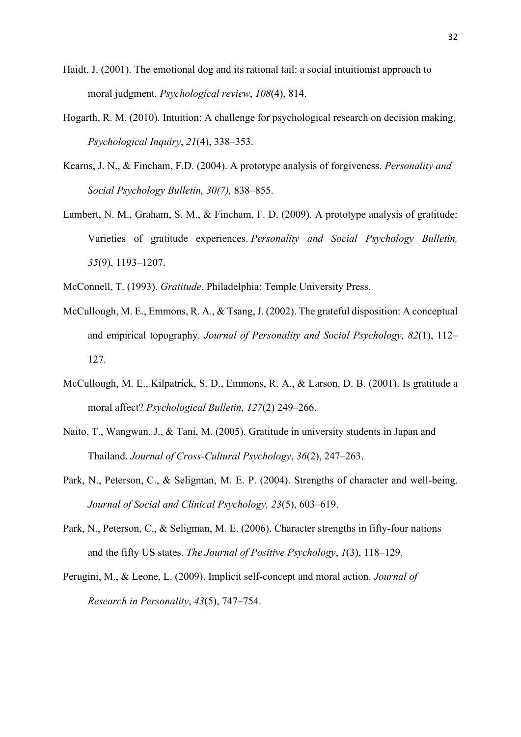- Haidt, J. (2001). The emotional dog and its rational tail: a social intuitionist approach to moral judgment. *Psychological review*, *108*(4), 814.
- Hogarth, R. M. (2010). Intuition: A challenge for psychological research on decision making. *Psychological Inquiry*, *21*(4), 338–353.
- Kearns, J. N., & Fincham, F.D. (2004). A prototype analysis of forgiveness. *Personality and Social Psychology Bulletin, 30(7),* 838–855.
- Lambert, N. M., Graham, S. M., & Fincham, F. D. (2009). A prototype analysis of gratitude: Varieties of gratitude experiences. *Personality and Social Psychology Bulletin, 35*(9), 1193–1207.
- McConnell, T. (1993). *Gratitude*. Philadelphia: Temple University Press.
- McCullough, M. E., Emmons, R. A., & Tsang, J. (2002). The grateful disposition: A conceptual and empirical topography. *Journal of Personality and Social Psychology, 82*(1), 112– 127.
- McCullough, M. E., Kilpatrick, S. D., Emmons, R. A., & Larson, D. B. (2001). Is gratitude a moral affect? *Psychological Bulletin, 127*(2) 249–266.
- Naito, T., Wangwan, J., & Tani, M. (2005). Gratitude in university students in Japan and Thailand. *Journal of Cross-Cultural Psychology*, *36*(2), 247–263.
- Park, N., Peterson, C., & Seligman, M. E. P. (2004). Strengths of character and well-being. *Journal of Social and Clinical Psychology, 23*(5), 603–619.
- Park, N., Peterson, C., & Seligman, M. E. (2006). Character strengths in fifty-four nations and the fifty US states. *The Journal of Positive Psychology*, *1*(3), 118–129.
- Perugini, M., & Leone, L. (2009). Implicit self-concept and moral action. *Journal of Research in Personality*, *43*(5), 747–754.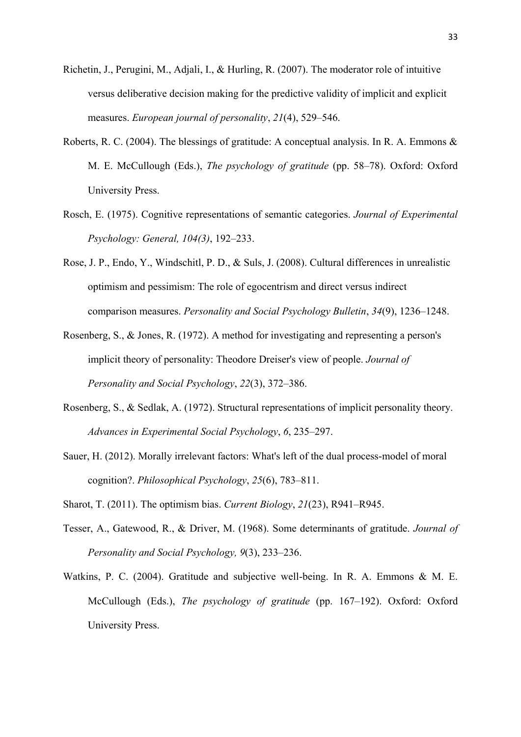- Richetin, J., Perugini, M., Adjali, I., & Hurling, R. (2007). The moderator role of intuitive versus deliberative decision making for the predictive validity of implicit and explicit measures. *European journal of personality*, *21*(4), 529–546.
- Roberts, R. C. (2004). The blessings of gratitude: A conceptual analysis. In R. A. Emmons & M. E. McCullough (Eds.), *The psychology of gratitude* (pp. 58–78). Oxford: Oxford University Press.
- Rosch, E. (1975). Cognitive representations of semantic categories. *Journal of Experimental Psychology: General, 104(3)*, 192–233.
- Rose, J. P., Endo, Y., Windschitl, P. D., & Suls, J. (2008). Cultural differences in unrealistic optimism and pessimism: The role of egocentrism and direct versus indirect comparison measures. *Personality and Social Psychology Bulletin*, *34*(9), 1236–1248.
- Rosenberg, S., & Jones, R. (1972). A method for investigating and representing a person's implicit theory of personality: Theodore Dreiser's view of people. *Journal of Personality and Social Psychology*, *22*(3), 372–386.
- Rosenberg, S., & Sedlak, A. (1972). Structural representations of implicit personality theory. *Advances in Experimental Social Psychology*, *6*, 235–297.
- Sauer, H. (2012). Morally irrelevant factors: What's left of the dual process-model of moral cognition?. *Philosophical Psychology*, *25*(6), 783–811.
- Sharot, T. (2011). The optimism bias. *Current Biology*, *21*(23), R941–R945.
- Tesser, A., Gatewood, R., & Driver, M. (1968). Some determinants of gratitude. *Journal of Personality and Social Psychology, 9*(3), 233–236.
- Watkins, P. C. (2004). Gratitude and subjective well-being. In R. A. Emmons & M. E. McCullough (Eds.), *The psychology of gratitude* (pp. 167–192). Oxford: Oxford University Press.